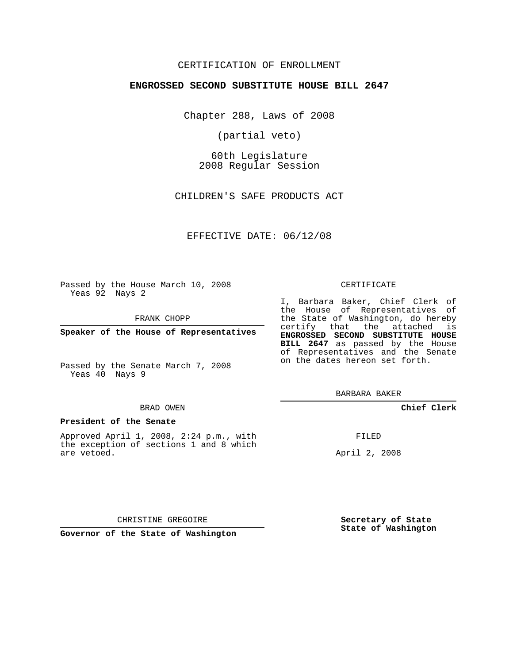## CERTIFICATION OF ENROLLMENT

### **ENGROSSED SECOND SUBSTITUTE HOUSE BILL 2647**

Chapter 288, Laws of 2008

(partial veto)

60th Legislature 2008 Regular Session

CHILDREN'S SAFE PRODUCTS ACT

EFFECTIVE DATE: 06/12/08

Passed by the House March 10, 2008 Yeas 92 Nays 2

FRANK CHOPP

**Speaker of the House of Representatives**

Passed by the Senate March 7, 2008 Yeas 40 Nays 9

#### BRAD OWEN

#### **President of the Senate**

Approved April 1, 2008, 2:24 p.m., with the exception of sections 1 and 8 which are vetoed.

#### CERTIFICATE

I, Barbara Baker, Chief Clerk of the House of Representatives of the State of Washington, do hereby certify that the attached is **ENGROSSED SECOND SUBSTITUTE HOUSE BILL 2647** as passed by the House of Representatives and the Senate on the dates hereon set forth.

BARBARA BAKER

**Chief Clerk**

FILED

April 2, 2008

CHRISTINE GREGOIRE

**Governor of the State of Washington**

**Secretary of State State of Washington**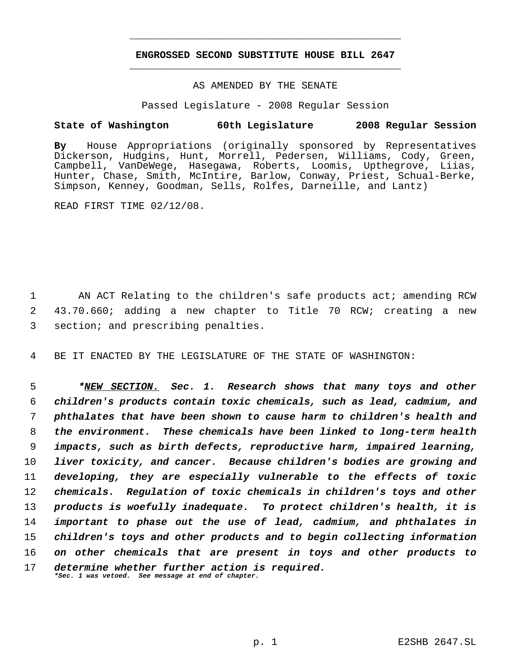# **ENGROSSED SECOND SUBSTITUTE HOUSE BILL 2647** \_\_\_\_\_\_\_\_\_\_\_\_\_\_\_\_\_\_\_\_\_\_\_\_\_\_\_\_\_\_\_\_\_\_\_\_\_\_\_\_\_\_\_\_\_

\_\_\_\_\_\_\_\_\_\_\_\_\_\_\_\_\_\_\_\_\_\_\_\_\_\_\_\_\_\_\_\_\_\_\_\_\_\_\_\_\_\_\_\_\_

### AS AMENDED BY THE SENATE

Passed Legislature - 2008 Regular Session

## **State of Washington 60th Legislature 2008 Regular Session**

**By** House Appropriations (originally sponsored by Representatives Dickerson, Hudgins, Hunt, Morrell, Pedersen, Williams, Cody, Green, Campbell, VanDeWege, Hasegawa, Roberts, Loomis, Upthegrove, Liias, Hunter, Chase, Smith, McIntire, Barlow, Conway, Priest, Schual-Berke, Simpson, Kenney, Goodman, Sells, Rolfes, Darneille, and Lantz)

READ FIRST TIME 02/12/08.

1 AN ACT Relating to the children's safe products act; amending RCW 2 43.70.660; adding a new chapter to Title 70 RCW; creating a new 3 section; and prescribing penalties.

4 BE IT ENACTED BY THE LEGISLATURE OF THE STATE OF WASHINGTON:

 *\*NEW SECTION. Sec. 1. Research shows that many toys and other children's products contain toxic chemicals, such as lead, cadmium, and phthalates that have been shown to cause harm to children's health and the environment. These chemicals have been linked to long-term health impacts, such as birth defects, reproductive harm, impaired learning, liver toxicity, and cancer. Because children's bodies are growing and developing, they are especially vulnerable to the effects of toxic chemicals. Regulation of toxic chemicals in children's toys and other products is woefully inadequate. To protect children's health, it is important to phase out the use of lead, cadmium, and phthalates in children's toys and other products and to begin collecting information on other chemicals that are present in toys and other products to determine whether further action is required. \*Sec. 1 was vetoed. See message at end of chapter.*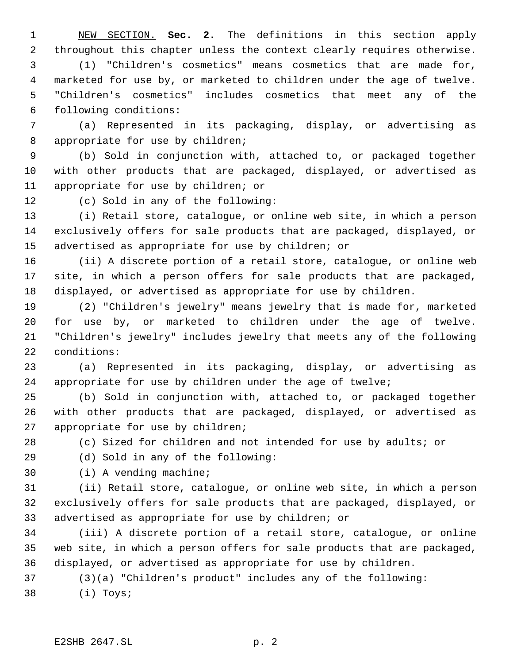NEW SECTION. **Sec. 2.** The definitions in this section apply throughout this chapter unless the context clearly requires otherwise. (1) "Children's cosmetics" means cosmetics that are made for, marketed for use by, or marketed to children under the age of twelve. "Children's cosmetics" includes cosmetics that meet any of the following conditions:

 (a) Represented in its packaging, display, or advertising as appropriate for use by children;

 (b) Sold in conjunction with, attached to, or packaged together with other products that are packaged, displayed, or advertised as appropriate for use by children; or

(c) Sold in any of the following:

 (i) Retail store, catalogue, or online web site, in which a person exclusively offers for sale products that are packaged, displayed, or advertised as appropriate for use by children; or

 (ii) A discrete portion of a retail store, catalogue, or online web site, in which a person offers for sale products that are packaged, displayed, or advertised as appropriate for use by children.

 (2) "Children's jewelry" means jewelry that is made for, marketed for use by, or marketed to children under the age of twelve. "Children's jewelry" includes jewelry that meets any of the following conditions:

 (a) Represented in its packaging, display, or advertising as appropriate for use by children under the age of twelve;

 (b) Sold in conjunction with, attached to, or packaged together with other products that are packaged, displayed, or advertised as appropriate for use by children;

(c) Sized for children and not intended for use by adults; or

(d) Sold in any of the following:

(i) A vending machine;

 (ii) Retail store, catalogue, or online web site, in which a person exclusively offers for sale products that are packaged, displayed, or advertised as appropriate for use by children; or

 (iii) A discrete portion of a retail store, catalogue, or online web site, in which a person offers for sale products that are packaged, displayed, or advertised as appropriate for use by children.

(3)(a) "Children's product" includes any of the following:

(i) Toys;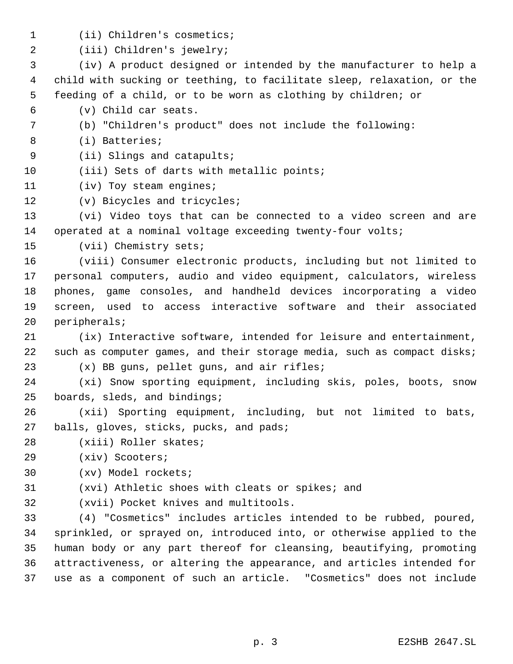- (ii) Children's cosmetics;
- (iii) Children's jewelry;

 (iv) A product designed or intended by the manufacturer to help a child with sucking or teething, to facilitate sleep, relaxation, or the feeding of a child, or to be worn as clothing by children; or

- (v) Child car seats.
- (b) "Children's product" does not include the following:
- (i) Batteries;
- (ii) Slings and catapults;
- 10 (iii) Sets of darts with metallic points;
- 11 (iv) Toy steam engines;
- (v) Bicycles and tricycles;

 (vi) Video toys that can be connected to a video screen and are 14 operated at a nominal voltage exceeding twenty-four volts;

(vii) Chemistry sets;

 (viii) Consumer electronic products, including but not limited to personal computers, audio and video equipment, calculators, wireless phones, game consoles, and handheld devices incorporating a video screen, used to access interactive software and their associated peripherals;

- (ix) Interactive software, intended for leisure and entertainment, 22 such as computer games, and their storage media, such as compact disks;
- (x) BB guns, pellet guns, and air rifles;

 (xi) Snow sporting equipment, including skis, poles, boots, snow boards, sleds, and bindings;

- (xii) Sporting equipment, including, but not limited to bats, 27 balls, gloves, sticks, pucks, and pads;
- (xiii) Roller skates;
- (xiv) Scooters;
- (xv) Model rockets;
- (xvi) Athletic shoes with cleats or spikes; and
- 

(xvii) Pocket knives and multitools.

 (4) "Cosmetics" includes articles intended to be rubbed, poured, sprinkled, or sprayed on, introduced into, or otherwise applied to the human body or any part thereof for cleansing, beautifying, promoting attractiveness, or altering the appearance, and articles intended for use as a component of such an article. "Cosmetics" does not include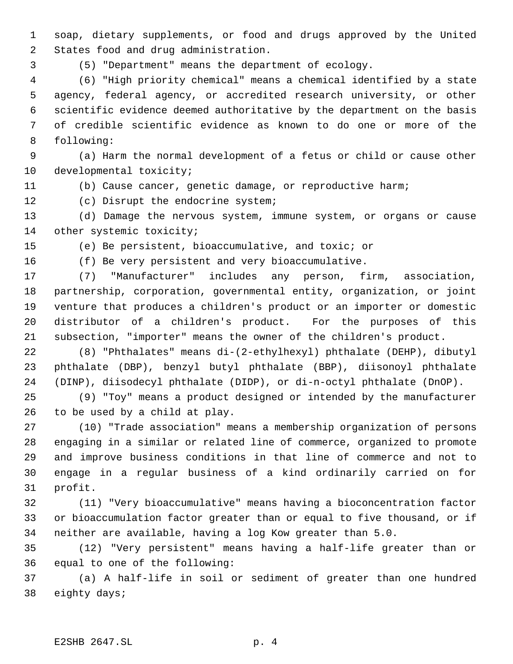soap, dietary supplements, or food and drugs approved by the United States food and drug administration.

(5) "Department" means the department of ecology.

 (6) "High priority chemical" means a chemical identified by a state agency, federal agency, or accredited research university, or other scientific evidence deemed authoritative by the department on the basis of credible scientific evidence as known to do one or more of the following:

 (a) Harm the normal development of a fetus or child or cause other developmental toxicity;

(b) Cause cancer, genetic damage, or reproductive harm;

(c) Disrupt the endocrine system;

 (d) Damage the nervous system, immune system, or organs or cause 14 other systemic toxicity;

(e) Be persistent, bioaccumulative, and toxic; or

(f) Be very persistent and very bioaccumulative.

 (7) "Manufacturer" includes any person, firm, association, partnership, corporation, governmental entity, organization, or joint venture that produces a children's product or an importer or domestic distributor of a children's product. For the purposes of this subsection, "importer" means the owner of the children's product.

 (8) "Phthalates" means di-(2-ethylhexyl) phthalate (DEHP), dibutyl phthalate (DBP), benzyl butyl phthalate (BBP), diisonoyl phthalate (DINP), diisodecyl phthalate (DIDP), or di-n-octyl phthalate (DnOP).

 (9) "Toy" means a product designed or intended by the manufacturer to be used by a child at play.

 (10) "Trade association" means a membership organization of persons engaging in a similar or related line of commerce, organized to promote and improve business conditions in that line of commerce and not to engage in a regular business of a kind ordinarily carried on for profit.

 (11) "Very bioaccumulative" means having a bioconcentration factor or bioaccumulation factor greater than or equal to five thousand, or if neither are available, having a log Kow greater than 5.0.

 (12) "Very persistent" means having a half-life greater than or equal to one of the following:

 (a) A half-life in soil or sediment of greater than one hundred eighty days;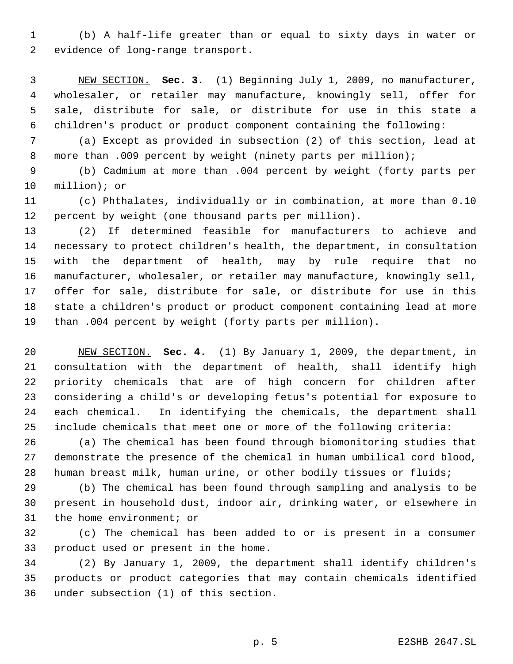(b) A half-life greater than or equal to sixty days in water or evidence of long-range transport.

 NEW SECTION. **Sec. 3.** (1) Beginning July 1, 2009, no manufacturer, wholesaler, or retailer may manufacture, knowingly sell, offer for sale, distribute for sale, or distribute for use in this state a children's product or product component containing the following:

 (a) Except as provided in subsection (2) of this section, lead at 8 more than .009 percent by weight (ninety parts per million);

 (b) Cadmium at more than .004 percent by weight (forty parts per million); or

 (c) Phthalates, individually or in combination, at more than 0.10 percent by weight (one thousand parts per million).

 (2) If determined feasible for manufacturers to achieve and necessary to protect children's health, the department, in consultation with the department of health, may by rule require that no manufacturer, wholesaler, or retailer may manufacture, knowingly sell, offer for sale, distribute for sale, or distribute for use in this state a children's product or product component containing lead at more than .004 percent by weight (forty parts per million).

 NEW SECTION. **Sec. 4.** (1) By January 1, 2009, the department, in consultation with the department of health, shall identify high priority chemicals that are of high concern for children after considering a child's or developing fetus's potential for exposure to each chemical. In identifying the chemicals, the department shall include chemicals that meet one or more of the following criteria:

 (a) The chemical has been found through biomonitoring studies that demonstrate the presence of the chemical in human umbilical cord blood, human breast milk, human urine, or other bodily tissues or fluids;

 (b) The chemical has been found through sampling and analysis to be present in household dust, indoor air, drinking water, or elsewhere in the home environment; or

 (c) The chemical has been added to or is present in a consumer product used or present in the home.

 (2) By January 1, 2009, the department shall identify children's products or product categories that may contain chemicals identified under subsection (1) of this section.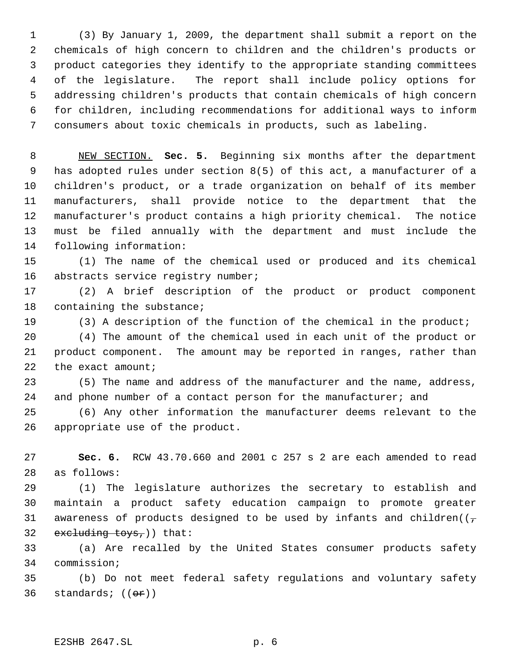(3) By January 1, 2009, the department shall submit a report on the chemicals of high concern to children and the children's products or product categories they identify to the appropriate standing committees of the legislature. The report shall include policy options for addressing children's products that contain chemicals of high concern for children, including recommendations for additional ways to inform consumers about toxic chemicals in products, such as labeling.

 NEW SECTION. **Sec. 5.** Beginning six months after the department has adopted rules under section 8(5) of this act, a manufacturer of a children's product, or a trade organization on behalf of its member manufacturers, shall provide notice to the department that the manufacturer's product contains a high priority chemical. The notice must be filed annually with the department and must include the following information:

 (1) The name of the chemical used or produced and its chemical 16 abstracts service registry number;

 (2) A brief description of the product or product component 18 containing the substance;

(3) A description of the function of the chemical in the product;

 (4) The amount of the chemical used in each unit of the product or product component. The amount may be reported in ranges, rather than 22 the exact amount;

 (5) The name and address of the manufacturer and the name, address, 24 and phone number of a contact person for the manufacturer; and

 (6) Any other information the manufacturer deems relevant to the appropriate use of the product.

 **Sec. 6.** RCW 43.70.660 and 2001 c 257 s 2 are each amended to read as follows:

 (1) The legislature authorizes the secretary to establish and maintain a product safety education campaign to promote greater 31 awareness of products designed to be used by infants and children( $(\tau$ 32 excluding  $toys_r$ ) that:

 (a) Are recalled by the United States consumer products safety commission;

 (b) Do not meet federal safety regulations and voluntary safety 36 standards;  $((\theta \cdot \hat{r}))$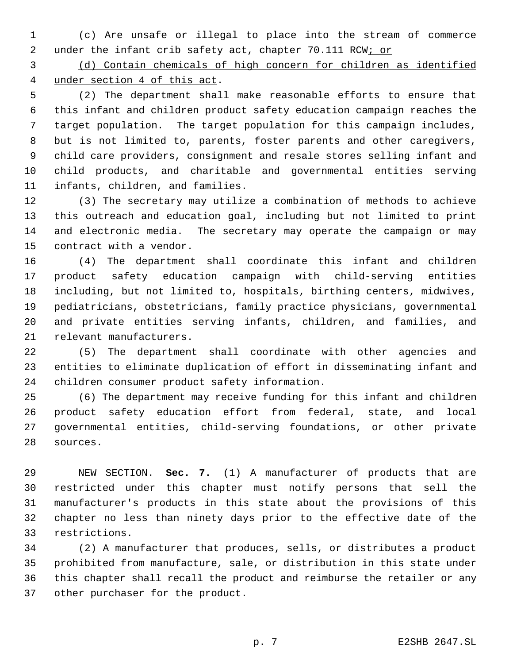(c) Are unsafe or illegal to place into the stream of commerce 2 under the infant crib safety act, chapter 70.111 RCW; or

 (d) Contain chemicals of high concern for children as identified under section 4 of this act.

 (2) The department shall make reasonable efforts to ensure that this infant and children product safety education campaign reaches the target population. The target population for this campaign includes, but is not limited to, parents, foster parents and other caregivers, child care providers, consignment and resale stores selling infant and child products, and charitable and governmental entities serving infants, children, and families.

 (3) The secretary may utilize a combination of methods to achieve this outreach and education goal, including but not limited to print and electronic media. The secretary may operate the campaign or may contract with a vendor.

 (4) The department shall coordinate this infant and children product safety education campaign with child-serving entities including, but not limited to, hospitals, birthing centers, midwives, pediatricians, obstetricians, family practice physicians, governmental and private entities serving infants, children, and families, and relevant manufacturers.

 (5) The department shall coordinate with other agencies and entities to eliminate duplication of effort in disseminating infant and children consumer product safety information.

 (6) The department may receive funding for this infant and children product safety education effort from federal, state, and local governmental entities, child-serving foundations, or other private sources.

 NEW SECTION. **Sec. 7.** (1) A manufacturer of products that are restricted under this chapter must notify persons that sell the manufacturer's products in this state about the provisions of this chapter no less than ninety days prior to the effective date of the restrictions.

 (2) A manufacturer that produces, sells, or distributes a product prohibited from manufacture, sale, or distribution in this state under this chapter shall recall the product and reimburse the retailer or any other purchaser for the product.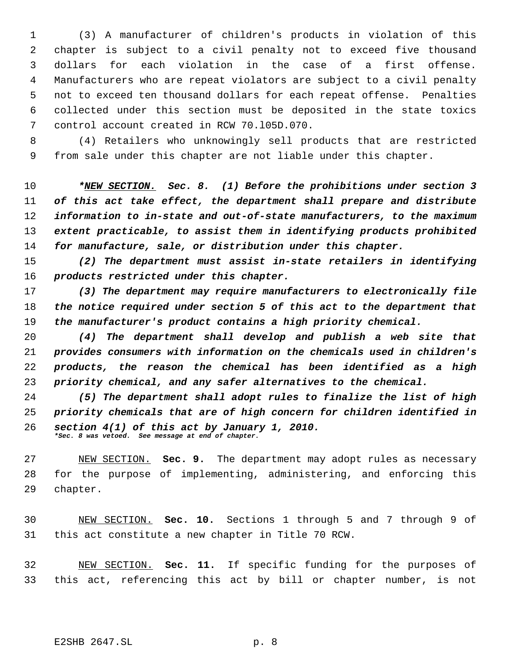(3) A manufacturer of children's products in violation of this chapter is subject to a civil penalty not to exceed five thousand dollars for each violation in the case of a first offense. Manufacturers who are repeat violators are subject to a civil penalty not to exceed ten thousand dollars for each repeat offense. Penalties collected under this section must be deposited in the state toxics control account created in RCW 70.l05D.070.

 (4) Retailers who unknowingly sell products that are restricted from sale under this chapter are not liable under this chapter.

 *\*NEW SECTION. Sec. 8. (1) Before the prohibitions under section 3 of this act take effect, the department shall prepare and distribute information to in-state and out-of-state manufacturers, to the maximum extent practicable, to assist them in identifying products prohibited for manufacture, sale, or distribution under this chapter.*

 *(2) The department must assist in-state retailers in identifying products restricted under this chapter.*

 *(3) The department may require manufacturers to electronically file the notice required under section 5 of this act to the department that the manufacturer's product contains a high priority chemical.*

 *(4) The department shall develop and publish a web site that provides consumers with information on the chemicals used in children's products, the reason the chemical has been identified as a high priority chemical, and any safer alternatives to the chemical.*

 *(5) The department shall adopt rules to finalize the list of high priority chemicals that are of high concern for children identified in section 4(1) of this act by January 1, 2010. \*Sec. 8 was vetoed. See message at end of chapter.*

 NEW SECTION. **Sec. 9.** The department may adopt rules as necessary for the purpose of implementing, administering, and enforcing this chapter.

 NEW SECTION. **Sec. 10.** Sections 1 through 5 and 7 through 9 of this act constitute a new chapter in Title 70 RCW.

 NEW SECTION. **Sec. 11.** If specific funding for the purposes of this act, referencing this act by bill or chapter number, is not

E2SHB 2647.SL p. 8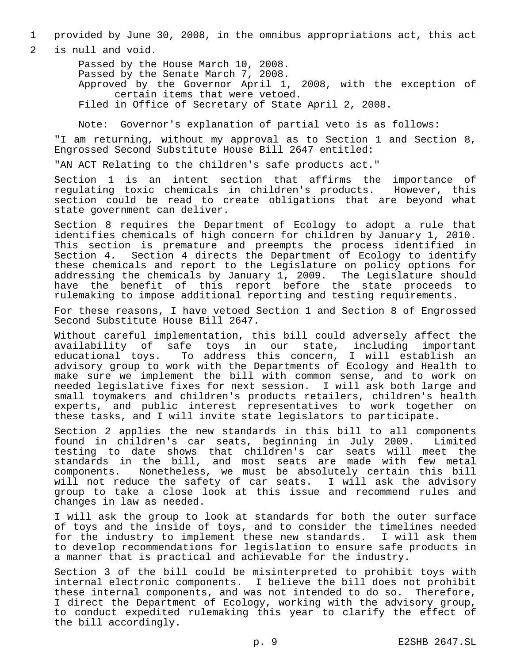1 provided by June 30, 2008, in the omnibus appropriations act, this act

2 is null and void.

Passed by the House March 10, 2008. Passed by the Senate March 7, 2008. Approved by the Governor April 1, 2008, with the exception of certain items that were vetoed. Filed in Office of Secretary of State April 2, 2008.

Note: Governor's explanation of partial veto is as follows:

"I am returning, without my approval as to Section 1 and Section 8, Engrossed Second Substitute House Bill 2647 entitled:

"AN ACT Relating to the children's safe products act."

Section 1 is an intent section that affirms the importance of regulating toxic chemicals in children's products. However, this section could be read to create obligations that are beyond what state government can deliver.

Section 8 requires the Department of Ecology to adopt a rule that identifies chemicals of high concern for children by January 1, 2010. This section is premature and preempts the process identified in Section 4. Section 4 directs the Department of Ecology to identify these chemicals and report to the Legislature on policy options for addressing the chemicals by January 1, 2009. The Legislature should have the benefit of this report before the state proceeds to rulemaking to impose additional reporting and testing requirements.

For these reasons, I have vetoed Section 1 and Section 8 of Engrossed Second Substitute House Bill 2647.

Without careful implementation, this bill could adversely affect the<br>availability of safe toys in our state, including important availability of safe toys in our state, including educational toys. To address this concern, I will establish an advisory group to work with the Departments of Ecology and Health to make sure we implement the bill with common sense, and to work on needed legislative fixes for next session. I will ask both large and small toymakers and children's products retailers, children's health experts, and public interest representatives to work together on these tasks, and I will invite state legislators to participate.

Section 2 applies the new standards in this bill to all components found in children's car seats, beginning in July 2009. Limited testing to date shows that children's car seats will meet the standards in the bill, and most seats are made with few metal components. Nonetheless, we must be absolutely certain this bill will not reduce the safety of car seats. I will ask the advisory group to take a close look at this issue and recommend rules and changes in law as needed.

I will ask the group to look at standards for both the outer surface of toys and the inside of toys, and to consider the timelines needed for the industry to implement these new standards. I will ask them to develop recommendations for legislation to ensure safe products in a manner that is practical and achievable for the industry.

Section 3 of the bill could be misinterpreted to prohibit toys with internal electronic components. I believe the bill does not prohibit these internal components, and was not intended to do so. Therefore, I direct the Department of Ecology, working with the advisory group, to conduct expedited rulemaking this year to clarify the effect of the bill accordingly.